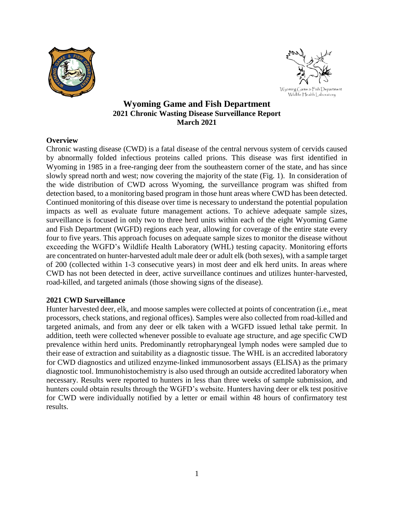



# **Wyoming Game and Fish Department 2021 Chronic Wasting Disease Surveillance Report March 2021**

## **Overview**

Chronic wasting disease (CWD) is a fatal disease of the central nervous system of cervids caused by abnormally folded infectious proteins called prions. This disease was first identified in Wyoming in 1985 in a free-ranging deer from the southeastern corner of the state, and has since slowly spread north and west; now covering the majority of the state (Fig. 1). In consideration of the wide distribution of CWD across Wyoming, the surveillance program was shifted from detection based, to a monitoring based program in those hunt areas where CWD has been detected. Continued monitoring of this disease over time is necessary to understand the potential population impacts as well as evaluate future management actions. To achieve adequate sample sizes, surveillance is focused in only two to three herd units within each of the eight Wyoming Game and Fish Department (WGFD) regions each year, allowing for coverage of the entire state every four to five years. This approach focuses on adequate sample sizes to monitor the disease without exceeding the WGFD's Wildlife Health Laboratory (WHL) testing capacity. Monitoring efforts are concentrated on hunter-harvested adult male deer or adult elk (both sexes), with a sample target of 200 (collected within 1-3 consecutive years) in most deer and elk herd units. In areas where CWD has not been detected in deer, active surveillance continues and utilizes hunter-harvested, road-killed, and targeted animals (those showing signs of the disease).

## **2021 CWD Surveillance**

Hunter harvested deer, elk, and moose samples were collected at points of concentration (i.e., meat processors, check stations, and regional offices). Samples were also collected from road-killed and targeted animals, and from any deer or elk taken with a WGFD issued lethal take permit. In addition, teeth were collected whenever possible to evaluate age structure, and age specific CWD prevalence within herd units. Predominantly retropharyngeal lymph nodes were sampled due to their ease of extraction and suitability as a diagnostic tissue. The WHL is an accredited laboratory for CWD diagnostics and utilized enzyme-linked immunosorbent assays (ELISA) as the primary diagnostic tool. Immunohistochemistry is also used through an outside accredited laboratory when necessary. Results were reported to hunters in less than three weeks of sample submission, and hunters could obtain results through the WGFD's website. Hunters having deer or elk test positive for CWD were individually notified by a letter or email within 48 hours of confirmatory test results.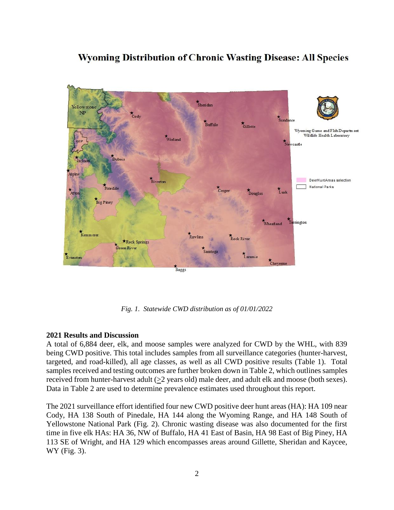# **Wyoming Distribution of Chronic Wasting Disease: All Species**



*Fig. 1. Statewide CWD distribution as of 01/01/2022*

#### **2021 Results and Discussion**

A total of 6,884 deer, elk, and moose samples were analyzed for CWD by the WHL, with 839 being CWD positive. This total includes samples from all surveillance categories (hunter-harvest, targeted, and road-killed), all age classes, as well as all CWD positive results (Table 1). Total samples received and testing outcomes are further broken down in Table 2, which outlines samples received from hunter-harvest adult (>2 years old) male deer, and adult elk and moose (both sexes). Data in Table 2 are used to determine prevalence estimates used throughout this report.

The 2021 surveillance effort identified four new CWD positive deer hunt areas (HA): HA 109 near Cody, HA 138 South of Pinedale, HA 144 along the Wyoming Range, and HA 148 South of Yellowstone National Park (Fig. 2). Chronic wasting disease was also documented for the first time in five elk HAs: HA 36, NW of Buffalo, HA 41 East of Basin, HA 98 East of Big Piney, HA 113 SE of Wright, and HA 129 which encompasses areas around Gillette, Sheridan and Kaycee, WY (Fig. 3).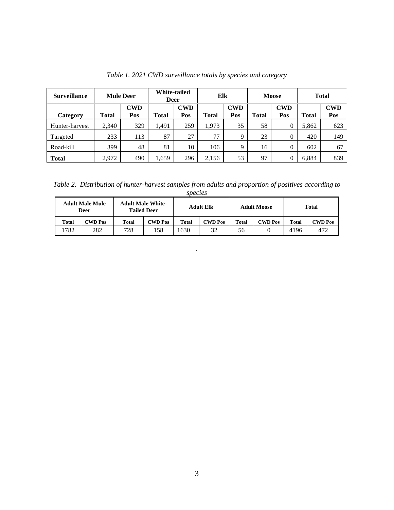| <b>Surveillance</b> | <b>Mule Deer</b> |                   | White-tailed<br><b>Deer</b> |                   | Elk          |                   | <b>Moose</b> |                   | <b>Total</b> |                   |
|---------------------|------------------|-------------------|-----------------------------|-------------------|--------------|-------------------|--------------|-------------------|--------------|-------------------|
| Category            | <b>Total</b>     | <b>CWD</b><br>Pos | <b>Total</b>                | <b>CWD</b><br>Pos | <b>Total</b> | <b>CWD</b><br>Pos | <b>Total</b> | <b>CWD</b><br>Pos | Total        | <b>CWD</b><br>Pos |
| Hunter-harvest      | 2,340            | 329               | 1,491                       | 259               | 1,973        | 35                | 58           |                   | 5,862        | 623               |
| Targeted            | 233              | 113               | 87                          | 27                | 77           | $\mathbf Q$       | 23           | $\Omega$          | 420          | 149               |
| Road-kill           | 399              | 48                | 81                          | 10                | 106          | Q                 | 16           |                   | 602          | 67                |
| <b>Total</b>        | 2,972            | 490               | .659                        | 296               | 2,156        | 53                | 97           |                   | 6.884        | 839               |

*Table 1. 2021 CWD surveillance totals by species and category*

*Table 2. Distribution of hunter-harvest samples from adults and proportion of positives according to species*

| <b>Adult Male Mule</b><br>Deer |                                      | <b>Adult Male White-</b><br><b>Tailed Deer</b> |                | <b>Adult Elk</b> |         | <b>Adult Moose</b> |                | <b>Total</b> |                |
|--------------------------------|--------------------------------------|------------------------------------------------|----------------|------------------|---------|--------------------|----------------|--------------|----------------|
| Total                          | $\mathbb{C}\mathbf{W}\mathbf{D}$ Pos | Total                                          | <b>CWD Pos</b> | Total            | CWD Pos | <b>Total</b>       | <b>CWD Pos</b> | <b>Total</b> | <b>CWD Pos</b> |
| .782                           | 282                                  | 728                                            | .58            | 630              | 32      | 56                 |                | 4196         | 472            |

*.*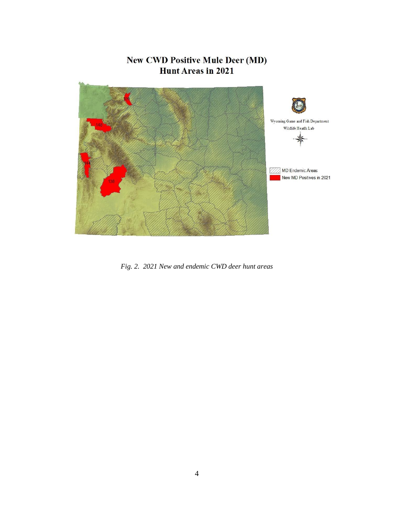# **New CWD Positive Mule Deer (MD) Hunt Areas in 2021**



*Fig. 2. 2021 New and endemic CWD deer hunt areas*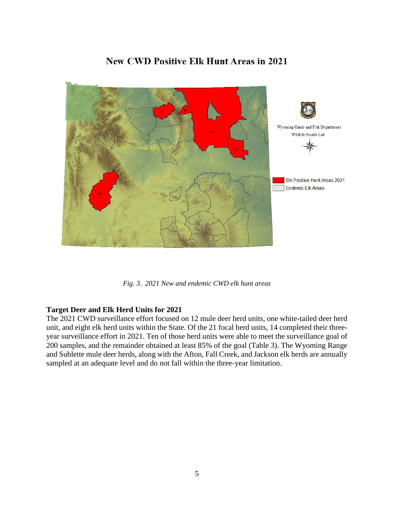

# **New CWD Positive Elk Hunt Areas in 2021**

*Fig. 3. 2021 New and endemic CWD elk hunt areas*

## **Target Deer and Elk Herd Units for 2021**

The 2021 CWD surveillance effort focused on 12 mule deer herd units, one white-tailed deer herd unit, and eight elk herd units within the State. Of the 21 focal herd units, 14 completed their threeyear surveillance effort in 2021. Ten of those herd units were able to meet the surveillance goal of 200 samples, and the remainder obtained at least 85% of the goal (Table 3). The Wyoming Range and Sublette mule deer herds, along with the Afton, Fall Creek, and Jackson elk herds are annually sampled at an adequate level and do not fall within the three-year limitation.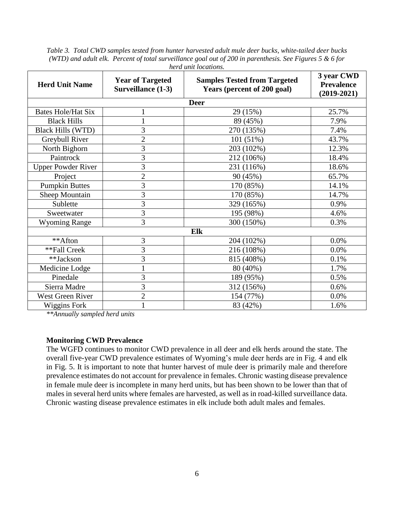*Table 3. Total CWD samples tested from hunter harvested adult mule deer bucks, white-tailed deer bucks (WTD) and adult elk. Percent of total surveillance goal out of 200 in parenthesis. See Figures 5 & 6 for herd unit locations.* 

| <b>Herd Unit Name</b>     | <b>Year of Targeted</b><br><b>Surveillance (1-3)</b> | <b>Samples Tested from Targeted</b><br>Years (percent of 200 goal) |       |  |  |  |  |  |
|---------------------------|------------------------------------------------------|--------------------------------------------------------------------|-------|--|--|--|--|--|
| <b>Deer</b>               |                                                      |                                                                    |       |  |  |  |  |  |
| <b>Bates Hole/Hat Six</b> |                                                      | 29 (15%)                                                           | 25.7% |  |  |  |  |  |
| <b>Black Hills</b>        |                                                      | 89 (45%)                                                           | 7.9%  |  |  |  |  |  |
| <b>Black Hills (WTD)</b>  | 3                                                    | 270 (135%)                                                         | 7.4%  |  |  |  |  |  |
| Greybull River            | $\overline{2}$                                       | 101 (51%)                                                          | 43.7% |  |  |  |  |  |
| North Bighorn             | 3                                                    | 203 (102%)                                                         | 12.3% |  |  |  |  |  |
| Paintrock                 | 3                                                    | 212 (106%)                                                         | 18.4% |  |  |  |  |  |
| <b>Upper Powder River</b> | 3                                                    | 231 (116%)                                                         | 18.6% |  |  |  |  |  |
| Project                   | $\overline{2}$                                       | 90 (45%)                                                           | 65.7% |  |  |  |  |  |
| <b>Pumpkin Buttes</b>     | 3                                                    | 170 (85%)                                                          | 14.1% |  |  |  |  |  |
| Sheep Mountain            | 3                                                    | 170 (85%)                                                          | 14.7% |  |  |  |  |  |
| Sublette                  | 3                                                    | 329 (165%)                                                         | 0.9%  |  |  |  |  |  |
| Sweetwater                | 3                                                    | 195 (98%)                                                          | 4.6%  |  |  |  |  |  |
| <b>Wyoming Range</b>      | 3                                                    | 300 (150%)                                                         | 0.3%  |  |  |  |  |  |
| Elk                       |                                                      |                                                                    |       |  |  |  |  |  |
| **Afton                   | 3                                                    | 204 (102%)                                                         | 0.0%  |  |  |  |  |  |
| **Fall Creek              | 3                                                    | 216 (108%)                                                         | 0.0%  |  |  |  |  |  |
| **Jackson                 | 3                                                    | 815 (408%)                                                         | 0.1%  |  |  |  |  |  |
| Medicine Lodge            | $\mathbf{1}$                                         | 80 (40%)                                                           | 1.7%  |  |  |  |  |  |
| Pinedale                  | 3                                                    | 189 (95%)                                                          | 0.5%  |  |  |  |  |  |
| Sierra Madre              | 3                                                    | 312 (156%)                                                         | 0.6%  |  |  |  |  |  |
| West Green River          | $\overline{2}$                                       | 154 (77%)                                                          | 0.0%  |  |  |  |  |  |
| <b>Wiggins Fork</b>       |                                                      | 83 (42%)                                                           | 1.6%  |  |  |  |  |  |

*\*\*Annually sampled herd units*

### **Monitoring CWD Prevalence**

The WGFD continues to monitor CWD prevalence in all deer and elk herds around the state. The overall five-year CWD prevalence estimates of Wyoming's mule deer herds are in Fig. 4 and elk in Fig. 5. It is important to note that hunter harvest of mule deer is primarily male and therefore prevalence estimates do not account for prevalence in females. Chronic wasting disease prevalence in female mule deer is incomplete in many herd units, but has been shown to be lower than that of males in several herd units where females are harvested, as well as in road-killed surveillance data. Chronic wasting disease prevalence estimates in elk include both adult males and females.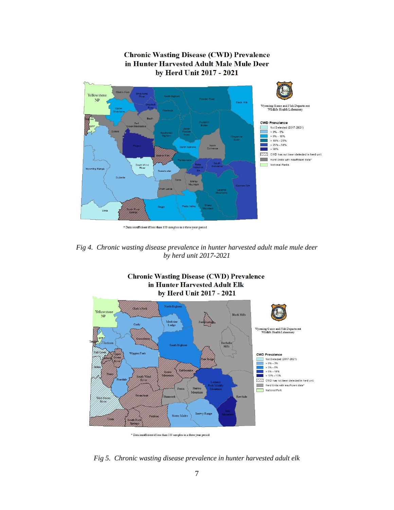

**Chronic Wasting Disease (CWD) Prevalence** 

*Fig 4. Chronic wasting disease prevalence in hunter harvested adult male mule deer by herd unit 2017-2021*



 $^\ast$  Data insufficient if less than  $100\,$  sam ples in a three year period

*Fig 5. Chronic wasting disease prevalence in hunter harvested adult elk*